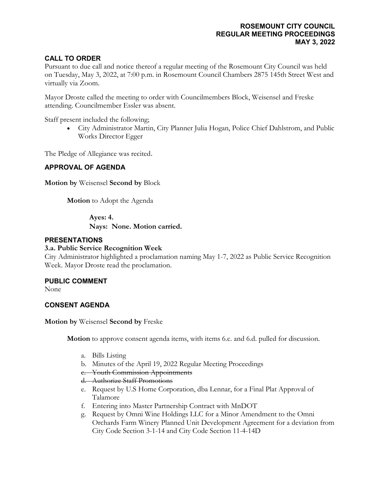### **ROSEMOUNT CITY COUNCIL REGULAR MEETING PROCEEDINGS MAY 3, 2022**

## **CALL TO ORDER**

Pursuant to due call and notice thereof a regular meeting of the Rosemount City Council was held on Tuesday, May 3, 2022, at 7:00 p.m. in Rosemount Council Chambers 2875 145th Street West and virtually via Zoom.

Mayor Droste called the meeting to order with Councilmembers Block, Weisensel and Freske attending. Councilmember Essler was absent.

Staff present included the following;

• City Administrator Martin, City Planner Julia Hogan, Police Chief Dahlstrom, and Public Works Director Egger

The Pledge of Allegiance was recited.

### **APPROVAL OF AGENDA**

**Motion by** Weisensel **Second by** Block

**Motion** to Adopt the Agenda

**Ayes: 4.** 

**Nays: None. Motion carried.**

#### **PRESENTATIONS**

#### **3.a. Public Service Recognition Week**

City Administrator highlighted a proclamation naming May 1-7, 2022 as Public Service Recognition Week. Mayor Droste read the proclamation.

### **PUBLIC COMMENT**

None

### **CONSENT AGENDA**

**Motion by** Weisensel **Second by** Freske

**Motion** to approve consent agenda items, with items 6.c. and 6.d. pulled for discussion.

- a. Bills Listing
- b. Minutes of the April 19, 2022 Regular Meeting Proceedings
- c. Youth Commission Appointments

d. Authorize Staff Promotions

- e. Request by U.S Home Corporation, dba Lennar, for a Final Plat Approval of Talamore
- f. Entering into Master Partnership Contract with MnDOT
- g. Request by Omni Wine Holdings LLC for a Minor Amendment to the Omni Orchards Farm Winery Planned Unit Development Agreement for a deviation from City Code Section 3-1-14 and City Code Section 11-4-14D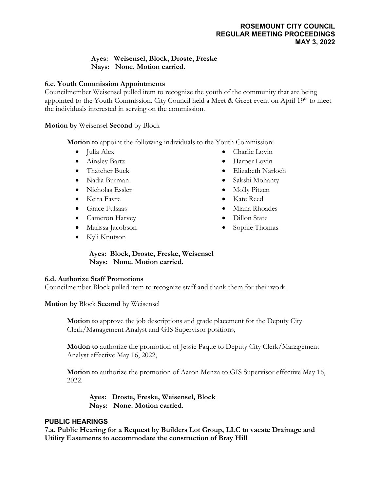**Ayes: Weisensel, Block, Droste, Freske Nays: None. Motion carried.**

## **6.c. Youth Commission Appointments**

Councilmember Weisensel pulled item to recognize the youth of the community that are being appointed to the Youth Commission. City Council held a Meet & Greet event on April 19<sup>th</sup> to meet the individuals interested in serving on the commission.

**Motion by** Weisensel **Second** by Block

**Motion to** appoint the following individuals to the Youth Commission:

- Julia Alex
- Ainsley Bartz
- Thatcher Buck
- Nadia Burman
- Nicholas Essler
- Keira Favre
- Grace Fulsaas
- Cameron Harvey
- Marissa Jacobson
- Kyli Knutson
- Charlie Lovin
- Harper Lovin
- Elizabeth Narloch
- Sakshi Mohanty
- Molly Pitzen
- Kate Reed
- Miana Rhoades
- Dillon State
- Sophie Thomas

**Ayes: Block, Droste, Freske, Weisensel Nays: None. Motion carried.**

# **6.d. Authorize Staff Promotions**

Councilmember Block pulled item to recognize staff and thank them for their work.

**Motion by** Block **Second** by Weisensel

**Motion to** approve the job descriptions and grade placement for the Deputy City Clerk/Management Analyst and GIS Supervisor positions,

**Motion to** authorize the promotion of Jessie Paque to Deputy City Clerk/Management Analyst effective May 16, 2022,

**Motion to** authorize the promotion of Aaron Menza to GIS Supervisor effective May 16, 2022.

**Ayes: Droste, Freske, Weisensel, Block Nays: None. Motion carried.**

# **PUBLIC HEARINGS**

**7.a. Public Hearing for a Request by Builders Lot Group, LLC to vacate Drainage and Utility Easements to accommodate the construction of Bray Hill**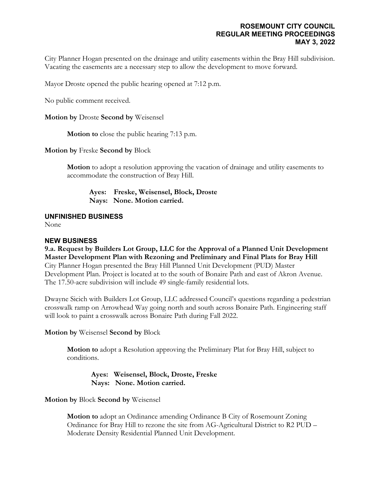#### **ROSEMOUNT CITY COUNCIL REGULAR MEETING PROCEEDINGS MAY 3, 2022**

City Planner Hogan presented on the drainage and utility easements within the Bray Hill subdivision. Vacating the easements are a necessary step to allow the development to move forward.

Mayor Droste opened the public hearing opened at 7:12 p.m.

No public comment received.

**Motion by** Droste **Second by** Weisensel

**Motion to** close the public hearing 7:13 p.m.

**Motion by** Freske **Second by** Block

**Motion** to adopt a resolution approving the vacation of drainage and utility easements to accommodate the construction of Bray Hill.

**Ayes: Freske, Weisensel, Block, Droste Nays: None. Motion carried.**

**UNFINISHED BUSINESS**

None

### **NEW BUSINESS**

**9.a. Request by Builders Lot Group, LLC for the Approval of a Planned Unit Development Master Development Plan with Rezoning and Preliminary and Final Plats for Bray Hill** City Planner Hogan presented the Bray Hill Planned Unit Development (PUD) Master Development Plan. Project is located at to the south of Bonaire Path and east of Akron Avenue. The 17.50-acre subdivision will include 49 single-family residential lots.

Dwayne Sicich with Builders Lot Group, LLC addressed Council's questions regarding a pedestrian crosswalk ramp on Arrowhead Way going north and south across Bonaire Path. Engineering staff will look to paint a crosswalk across Bonaire Path during Fall 2022.

**Motion by** Weisensel **Second by** Block

**Motion to** adopt a Resolution approving the Preliminary Plat for Bray Hill, subject to conditions.

**Ayes: Weisensel, Block, Droste, Freske Nays: None. Motion carried.**

**Motion by** Block **Second by** Weisensel

**Motion to** adopt an Ordinance amending Ordinance B City of Rosemount Zoning Ordinance for Bray Hill to rezone the site from AG-Agricultural District to R2 PUD – Moderate Density Residential Planned Unit Development.